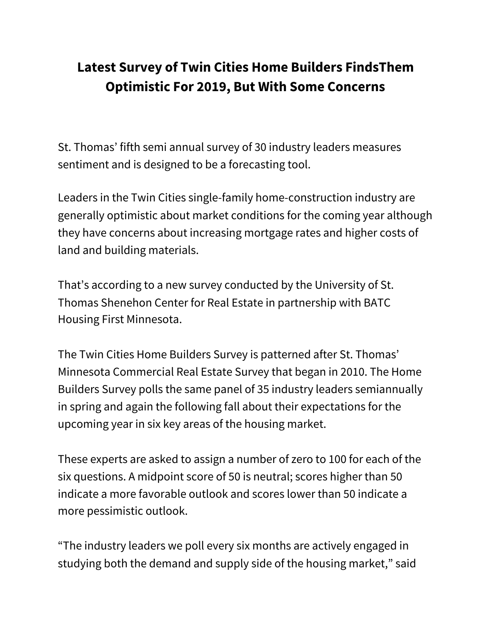# **Latest Survey of Twin Cities Home Builders FindsThem Optimistic For 2019, But With Some Concerns**

St. Thomas' fifth semi annual survey of 30 industry leaders measures sentiment and is designed to be a forecasting tool.

Leaders in the Twin Cities single-family home-construction industry are generally optimistic about market conditions for the coming year although they have concerns about increasing mortgage rates and higher costs of land and building materials.

That's according to a new survey conducted by the University of St. Thomas Shenehon Center for Real Estate in partnership with BATC Housing First Minnesota.

The Twin Cities Home Builders Survey is patterned after St. Thomas' Minnesota Commercial Real Estate Survey that began in 2010. The Home Builders Survey polls the same panel of 35 industry leaders semiannually in spring and again the following fall about their expectations for the upcoming year in six key areas of the housing market.

These experts are asked to assign a number of zero to 100 for each of the six questions. A midpoint score of 50 is neutral; scores higher than 50 indicate a more favorable outlook and scores lower than 50 indicate a more pessimistic outlook.

"The industry leaders we poll every six months are actively engaged in studying both the demand and supply side of the housing market," said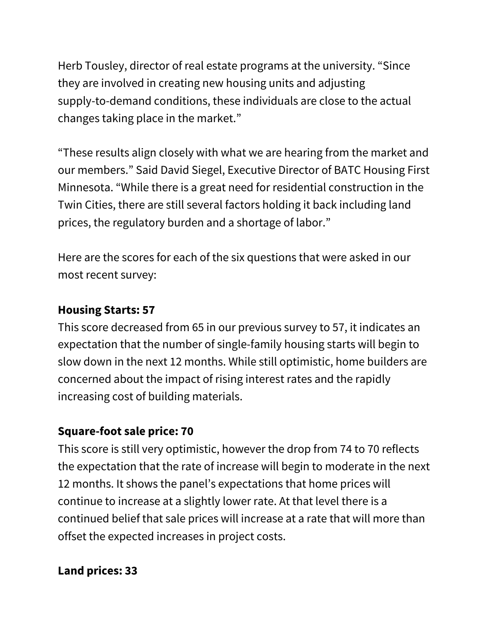Herb Tousley, director of real estate programs at the university. "Since they are involved in creating new housing units and adjusting supply-to-demand conditions, these individuals are close to the actual changes taking place in the market."

"These results align closely with what we are hearing from the market and our members." Said David Siegel, Executive Director of BATC Housing First Minnesota. "While there is a great need for residential construction in the Twin Cities, there are still several factors holding it back including land prices, the regulatory burden and a shortage of labor."

Here are the scores for each of the six questions that were asked in our most recent survey:

## **Housing Starts: 57**

This score decreased from 65 in our previous survey to 57, it indicates an expectation that the number of single-family housing starts will begin to slow down in the next 12 months. While still optimistic, home builders are concerned about the impact of rising interest rates and the rapidly increasing cost of building materials.

## **Square-foot sale price: 70**

This score is still very optimistic, however the drop from 74 to 70 reflects the expectation that the rate of increase will begin to moderate in the next 12 months. It shows the panel's expectations that home prices will continue to increase at a slightly lower rate. At that level there is a continued belief that sale prices will increase at a rate that will more than offset the expected increases in project costs.

#### **Land prices: 33**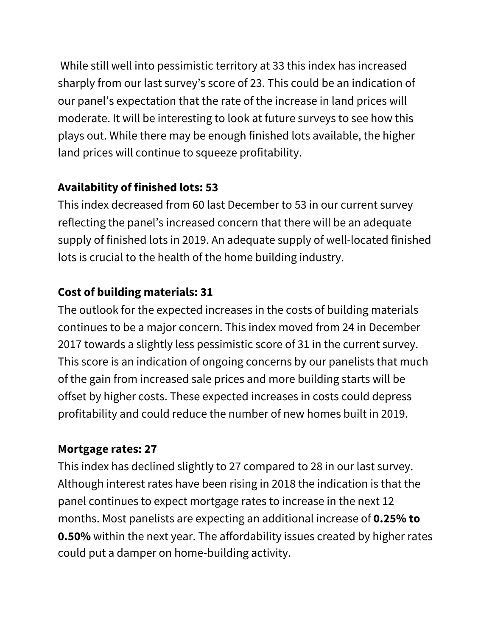While still well into pessimistic territory at 33 this index has increased sharply from our last survey's score of 23. This could be an indication of our panel's expectation that the rate of the increase in land prices will moderate. It will be interesting to look at future surveys to see how this plays out. While there may be enough finished lots available, the higher land prices will continue to squeeze profitability.

# **Availability of finished lots: 53**

This index decreased from 60 last December to 53 in our current survey reflecting the panel's increased concern that there will be an adequate supply of finished lots in 2019. An adequate supply of well-located finished lots is crucial to the health of the home building industry.

# **Cost of building materials: 31**

The outlook for the expected increases in the costs of building materials continues to be a major concern. This index moved from 24 in December 2017 towards a slightly less pessimistic score of 31 in the current survey. This score is an indication of ongoing concerns by our panelists that much of the gain from increased sale prices and more building starts will be offset by higher costs. These expected increases in costs could depress profitability and could reduce the number of new homes built in 2019.

## **Mortgage rates: 27**

This index has declined slightly to 27 compared to 28 in our last survey. Although interest rates have been rising in 2018 the indication is that the panel continues to expect mortgage rates to increase in the next 12 months. Most panelists are expecting an additional increase of **0.25% to 0.50%** within the next year. The affordability issues created by higher rates could put a damper on home-building activity.